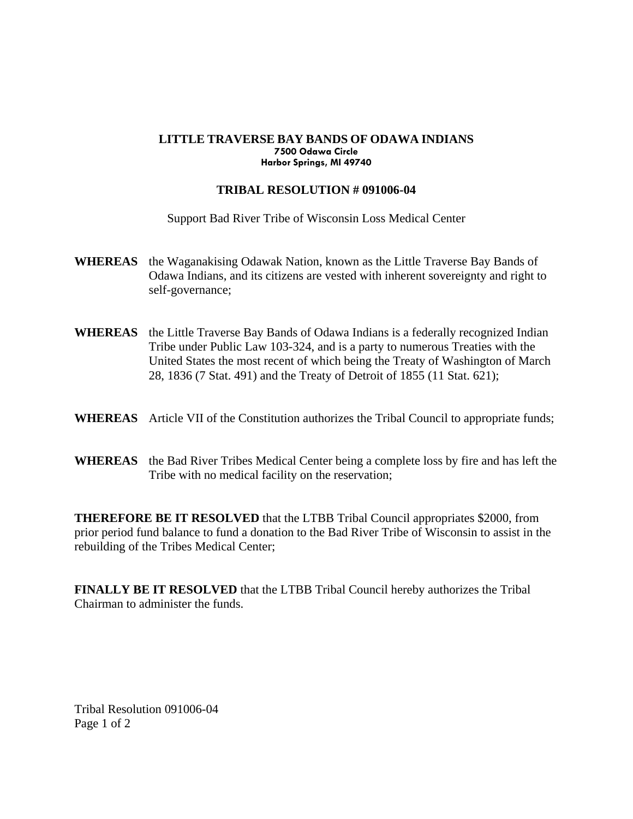## **LITTLE TRAVERSE BAY BANDS OF ODAWA INDIANS 7500 Odawa Circle Harbor Springs, MI 49740**

## **TRIBAL RESOLUTION # 091006-04**

Support Bad River Tribe of Wisconsin Loss Medical Center

- **WHEREAS** the Waganakising Odawak Nation, known as the Little Traverse Bay Bands of Odawa Indians, and its citizens are vested with inherent sovereignty and right to self-governance;
- **WHEREAS** the Little Traverse Bay Bands of Odawa Indians is a federally recognized Indian Tribe under Public Law 103-324, and is a party to numerous Treaties with the United States the most recent of which being the Treaty of Washington of March 28, 1836 (7 Stat. 491) and the Treaty of Detroit of 1855 (11 Stat. 621);
- **WHEREAS** Article VII of the Constitution authorizes the Tribal Council to appropriate funds;
- **WHEREAS** the Bad River Tribes Medical Center being a complete loss by fire and has left the Tribe with no medical facility on the reservation;

**THEREFORE BE IT RESOLVED** that the LTBB Tribal Council appropriates \$2000, from prior period fund balance to fund a donation to the Bad River Tribe of Wisconsin to assist in the rebuilding of the Tribes Medical Center;

**FINALLY BE IT RESOLVED** that the LTBB Tribal Council hereby authorizes the Tribal Chairman to administer the funds.

Tribal Resolution 091006-04 Page 1 of 2